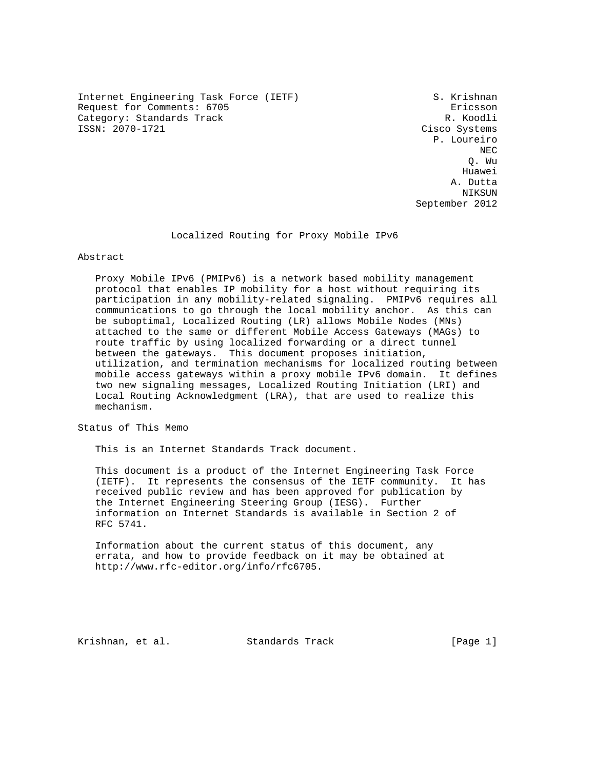Internet Engineering Task Force (IETF) S. Krishnan Request for Comments: 6705<br>Category: Standards Track entries and the community of the R. Koodli Category: Standards Track<br>ISSN: 2070-1721

Cisco Systems P. Loureiro NECTRIC INTENSITY OF REAL PROPERTY AND REAL PROPERTY OF REAL PROPERTY. Q. Wu he distributed by the control of the control of the control of the control of the control of the control of the control of the control of the control of the control of the control of the control of the control of the contr A. Dutta NIKSUN NIKSUN NIKSUN NIKSUN NIKSUN NI MENGENDA September 2012

Localized Routing for Proxy Mobile IPv6

Abstract

 Proxy Mobile IPv6 (PMIPv6) is a network based mobility management protocol that enables IP mobility for a host without requiring its participation in any mobility-related signaling. PMIPv6 requires all communications to go through the local mobility anchor. As this can be suboptimal, Localized Routing (LR) allows Mobile Nodes (MNs) attached to the same or different Mobile Access Gateways (MAGs) to route traffic by using localized forwarding or a direct tunnel between the gateways. This document proposes initiation, utilization, and termination mechanisms for localized routing between mobile access gateways within a proxy mobile IPv6 domain. It defines two new signaling messages, Localized Routing Initiation (LRI) and Local Routing Acknowledgment (LRA), that are used to realize this mechanism.

Status of This Memo

This is an Internet Standards Track document.

 This document is a product of the Internet Engineering Task Force (IETF). It represents the consensus of the IETF community. It has received public review and has been approved for publication by the Internet Engineering Steering Group (IESG). Further information on Internet Standards is available in Section 2 of RFC 5741.

 Information about the current status of this document, any errata, and how to provide feedback on it may be obtained at http://www.rfc-editor.org/info/rfc6705.

Krishnan, et al. Standards Track [Page 1]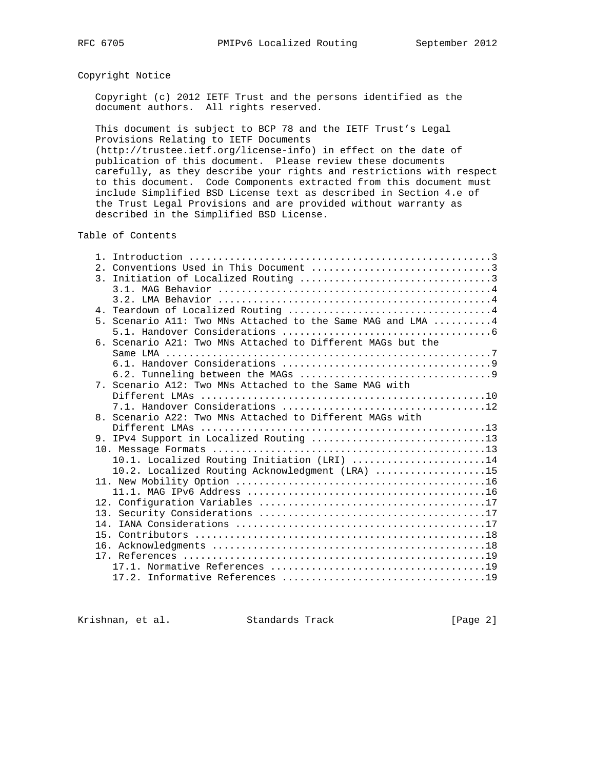# Copyright Notice

 Copyright (c) 2012 IETF Trust and the persons identified as the document authors. All rights reserved.

 This document is subject to BCP 78 and the IETF Trust's Legal Provisions Relating to IETF Documents

 (http://trustee.ietf.org/license-info) in effect on the date of publication of this document. Please review these documents carefully, as they describe your rights and restrictions with respect to this document. Code Components extracted from this document must include Simplified BSD License text as described in Section 4.e of the Trust Legal Provisions and are provided without warranty as described in the Simplified BSD License.

## Table of Contents

|  | 5. Scenario All: Two MNs Attached to the Same MAG and LMA 4 |
|--|-------------------------------------------------------------|
|  |                                                             |
|  | 6. Scenario A21: Two MNs Attached to Different MAGs but the |
|  |                                                             |
|  |                                                             |
|  |                                                             |
|  | 7. Scenario A12: Two MNs Attached to the Same MAG with      |
|  |                                                             |
|  |                                                             |
|  | 8. Scenario A22: Two MNs Attached to Different MAGs with    |
|  |                                                             |
|  |                                                             |
|  |                                                             |
|  | 10.1. Localized Routing Initiation (LRI) 14                 |
|  | 10.2. Localized Routing Acknowledgment (LRA) 15             |
|  |                                                             |
|  |                                                             |
|  |                                                             |
|  |                                                             |
|  |                                                             |
|  |                                                             |
|  |                                                             |
|  |                                                             |
|  |                                                             |
|  |                                                             |

Krishnan, et al. Standards Track [Page 2]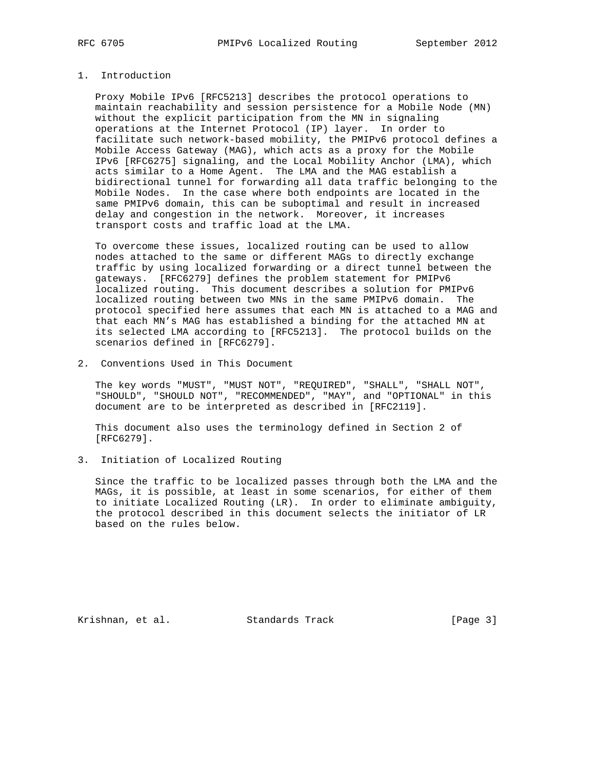## 1. Introduction

 Proxy Mobile IPv6 [RFC5213] describes the protocol operations to maintain reachability and session persistence for a Mobile Node (MN) without the explicit participation from the MN in signaling operations at the Internet Protocol (IP) layer. In order to facilitate such network-based mobility, the PMIPv6 protocol defines a Mobile Access Gateway (MAG), which acts as a proxy for the Mobile IPv6 [RFC6275] signaling, and the Local Mobility Anchor (LMA), which acts similar to a Home Agent. The LMA and the MAG establish a bidirectional tunnel for forwarding all data traffic belonging to the Mobile Nodes. In the case where both endpoints are located in the same PMIPv6 domain, this can be suboptimal and result in increased delay and congestion in the network. Moreover, it increases transport costs and traffic load at the LMA.

 To overcome these issues, localized routing can be used to allow nodes attached to the same or different MAGs to directly exchange traffic by using localized forwarding or a direct tunnel between the gateways. [RFC6279] defines the problem statement for PMIPv6 localized routing. This document describes a solution for PMIPv6 localized routing between two MNs in the same PMIPv6 domain. The protocol specified here assumes that each MN is attached to a MAG and that each MN's MAG has established a binding for the attached MN at its selected LMA according to [RFC5213]. The protocol builds on the scenarios defined in [RFC6279].

2. Conventions Used in This Document

 The key words "MUST", "MUST NOT", "REQUIRED", "SHALL", "SHALL NOT", "SHOULD", "SHOULD NOT", "RECOMMENDED", "MAY", and "OPTIONAL" in this document are to be interpreted as described in [RFC2119].

 This document also uses the terminology defined in Section 2 of [RFC6279].

3. Initiation of Localized Routing

 Since the traffic to be localized passes through both the LMA and the MAGs, it is possible, at least in some scenarios, for either of them to initiate Localized Routing (LR). In order to eliminate ambiguity, the protocol described in this document selects the initiator of LR based on the rules below.

Krishnan, et al. Standards Track [Page 3]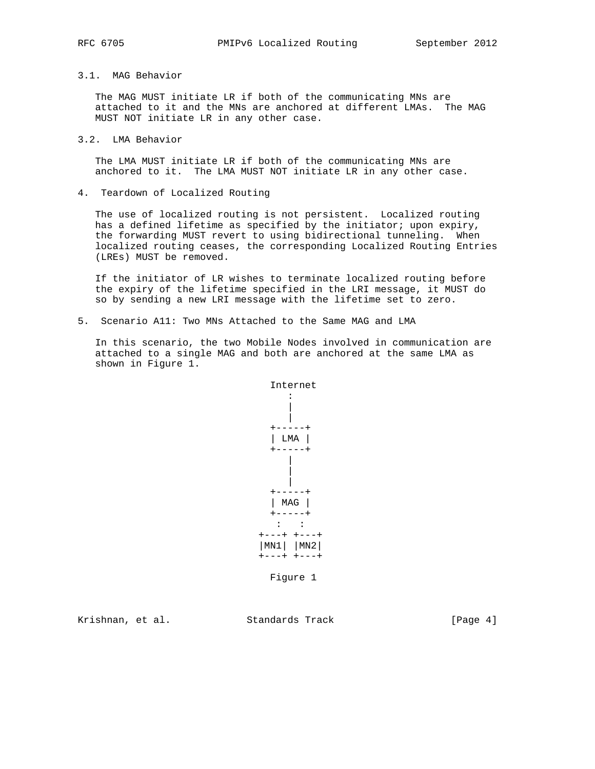## 3.1. MAG Behavior

 The MAG MUST initiate LR if both of the communicating MNs are attached to it and the MNs are anchored at different LMAs. The MAG MUST NOT initiate LR in any other case.

#### 3.2. LMA Behavior

 The LMA MUST initiate LR if both of the communicating MNs are anchored to it. The LMA MUST NOT initiate LR in any other case.

4. Teardown of Localized Routing

 The use of localized routing is not persistent. Localized routing has a defined lifetime as specified by the initiator; upon expiry, the forwarding MUST revert to using bidirectional tunneling. When localized routing ceases, the corresponding Localized Routing Entries (LREs) MUST be removed.

 If the initiator of LR wishes to terminate localized routing before the expiry of the lifetime specified in the LRI message, it MUST do so by sending a new LRI message with the lifetime set to zero.

5. Scenario A11: Two MNs Attached to the Same MAG and LMA

 In this scenario, the two Mobile Nodes involved in communication are attached to a single MAG and both are anchored at the same LMA as shown in Figure 1.



Figure 1

Krishnan, et al. Standards Track [Page 4]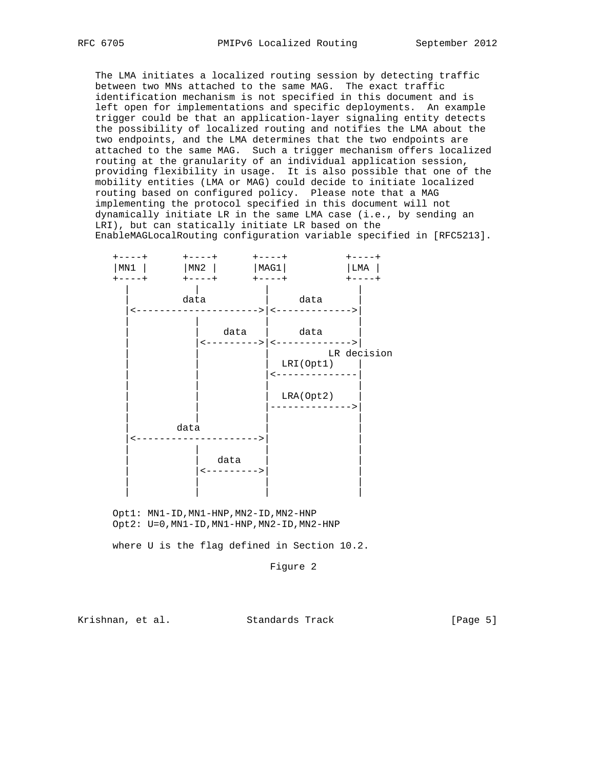The LMA initiates a localized routing session by detecting traffic between two MNs attached to the same MAG. The exact traffic identification mechanism is not specified in this document and is left open for implementations and specific deployments. An example trigger could be that an application-layer signaling entity detects the possibility of localized routing and notifies the LMA about the two endpoints, and the LMA determines that the two endpoints are attached to the same MAG. Such a trigger mechanism offers localized routing at the granularity of an individual application session, providing flexibility in usage. It is also possible that one of the mobility entities (LMA or MAG) could decide to initiate localized routing based on configured policy. Please note that a MAG implementing the protocol specified in this document will not dynamically initiate LR in the same LMA case (i.e., by sending an LRI), but can statically initiate LR based on the EnableMAGLocalRouting configuration variable specified in [RFC5213].



 Opt1: MN1-ID,MN1-HNP,MN2-ID,MN2-HNP Opt2: U=0,MN1-ID,MN1-HNP,MN2-ID,MN2-HNP

where U is the flag defined in Section 10.2.

Figure 2

Krishnan, et al. Standards Track [Page 5]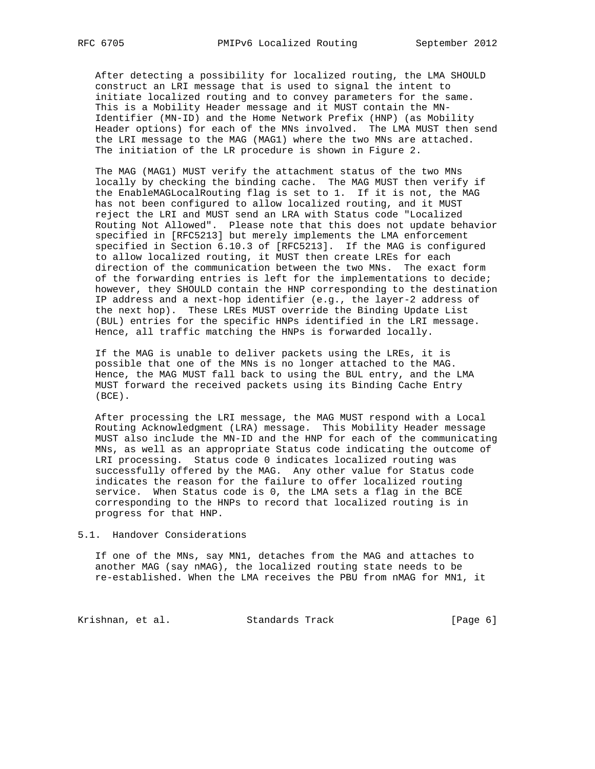After detecting a possibility for localized routing, the LMA SHOULD construct an LRI message that is used to signal the intent to initiate localized routing and to convey parameters for the same. This is a Mobility Header message and it MUST contain the MN- Identifier (MN-ID) and the Home Network Prefix (HNP) (as Mobility Header options) for each of the MNs involved. The LMA MUST then send the LRI message to the MAG (MAG1) where the two MNs are attached. The initiation of the LR procedure is shown in Figure 2.

 The MAG (MAG1) MUST verify the attachment status of the two MNs locally by checking the binding cache. The MAG MUST then verify if the EnableMAGLocalRouting flag is set to 1. If it is not, the MAG has not been configured to allow localized routing, and it MUST reject the LRI and MUST send an LRA with Status code "Localized Routing Not Allowed". Please note that this does not update behavior specified in [RFC5213] but merely implements the LMA enforcement specified in Section 6.10.3 of [RFC5213]. If the MAG is configured to allow localized routing, it MUST then create LREs for each direction of the communication between the two MNs. The exact form of the forwarding entries is left for the implementations to decide; however, they SHOULD contain the HNP corresponding to the destination IP address and a next-hop identifier (e.g., the layer-2 address of the next hop). These LREs MUST override the Binding Update List (BUL) entries for the specific HNPs identified in the LRI message. Hence, all traffic matching the HNPs is forwarded locally.

 If the MAG is unable to deliver packets using the LREs, it is possible that one of the MNs is no longer attached to the MAG. Hence, the MAG MUST fall back to using the BUL entry, and the LMA MUST forward the received packets using its Binding Cache Entry (BCE).

 After processing the LRI message, the MAG MUST respond with a Local Routing Acknowledgment (LRA) message. This Mobility Header message MUST also include the MN-ID and the HNP for each of the communicating MNs, as well as an appropriate Status code indicating the outcome of LRI processing. Status code 0 indicates localized routing was successfully offered by the MAG. Any other value for Status code indicates the reason for the failure to offer localized routing service. When Status code is 0, the LMA sets a flag in the BCE corresponding to the HNPs to record that localized routing is in progress for that HNP.

#### 5.1. Handover Considerations

 If one of the MNs, say MN1, detaches from the MAG and attaches to another MAG (say nMAG), the localized routing state needs to be re-established. When the LMA receives the PBU from nMAG for MN1, it

Krishnan, et al. Standards Track [Page 6]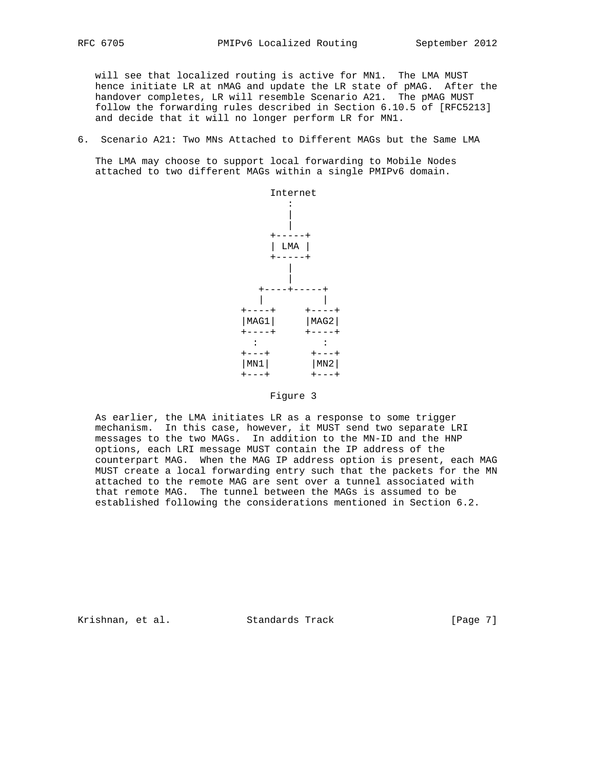will see that localized routing is active for MN1. The LMA MUST hence initiate LR at nMAG and update the LR state of pMAG. After the handover completes, LR will resemble Scenario A21. The pMAG MUST follow the forwarding rules described in Section 6.10.5 of [RFC5213] and decide that it will no longer perform LR for MN1.

6. Scenario A21: Two MNs Attached to Different MAGs but the Same LMA

 The LMA may choose to support local forwarding to Mobile Nodes attached to two different MAGs within a single PMIPv6 domain.



#### Figure 3

 As earlier, the LMA initiates LR as a response to some trigger mechanism. In this case, however, it MUST send two separate LRI messages to the two MAGs. In addition to the MN-ID and the HNP options, each LRI message MUST contain the IP address of the counterpart MAG. When the MAG IP address option is present, each MAG MUST create a local forwarding entry such that the packets for the MN attached to the remote MAG are sent over a tunnel associated with that remote MAG. The tunnel between the MAGs is assumed to be established following the considerations mentioned in Section 6.2.

Krishnan, et al. Standards Track [Page 7]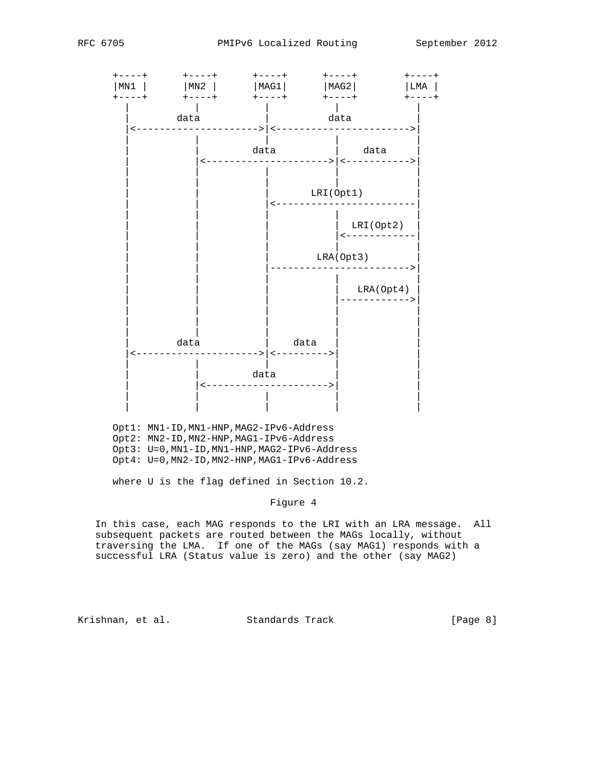

 Opt1: MN1-ID,MN1-HNP,MAG2-IPv6-Address Opt2: MN2-ID,MN2-HNP,MAG1-IPv6-Address Opt3: U=0,MN1-ID,MN1-HNP,MAG2-IPv6-Address Opt4: U=0,MN2-ID,MN2-HNP,MAG1-IPv6-Address

where U is the flag defined in Section 10.2.

Figure 4

 In this case, each MAG responds to the LRI with an LRA message. All subsequent packets are routed between the MAGs locally, without traversing the LMA. If one of the MAGs (say MAG1) responds with a successful LRA (Status value is zero) and the other (say MAG2)

Krishnan, et al. Standards Track [Page 8]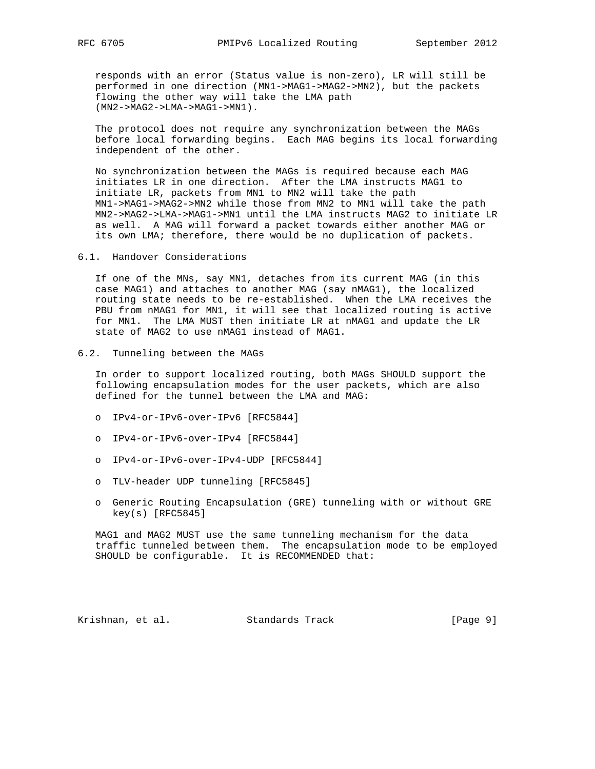responds with an error (Status value is non-zero), LR will still be performed in one direction (MN1->MAG1->MAG2->MN2), but the packets flowing the other way will take the LMA path (MN2->MAG2->LMA->MAG1->MN1).

 The protocol does not require any synchronization between the MAGs before local forwarding begins. Each MAG begins its local forwarding independent of the other.

 No synchronization between the MAGs is required because each MAG initiates LR in one direction. After the LMA instructs MAG1 to initiate LR, packets from MN1 to MN2 will take the path MN1->MAG1->MAG2->MN2 while those from MN2 to MN1 will take the path MN2->MAG2->LMA->MAG1->MN1 until the LMA instructs MAG2 to initiate LR as well. A MAG will forward a packet towards either another MAG or its own LMA; therefore, there would be no duplication of packets.

6.1. Handover Considerations

 If one of the MNs, say MN1, detaches from its current MAG (in this case MAG1) and attaches to another MAG (say nMAG1), the localized routing state needs to be re-established. When the LMA receives the PBU from nMAG1 for MN1, it will see that localized routing is active for MN1. The LMA MUST then initiate LR at nMAG1 and update the LR state of MAG2 to use nMAG1 instead of MAG1.

6.2. Tunneling between the MAGs

 In order to support localized routing, both MAGs SHOULD support the following encapsulation modes for the user packets, which are also defined for the tunnel between the LMA and MAG:

- o IPv4-or-IPv6-over-IPv6 [RFC5844]
- o IPv4-or-IPv6-over-IPv4 [RFC5844]
- o IPv4-or-IPv6-over-IPv4-UDP [RFC5844]
- o TLV-header UDP tunneling [RFC5845]
- o Generic Routing Encapsulation (GRE) tunneling with or without GRE key(s) [RFC5845]

 MAG1 and MAG2 MUST use the same tunneling mechanism for the data traffic tunneled between them. The encapsulation mode to be employed SHOULD be configurable. It is RECOMMENDED that:

Krishnan, et al. Standards Track [Page 9]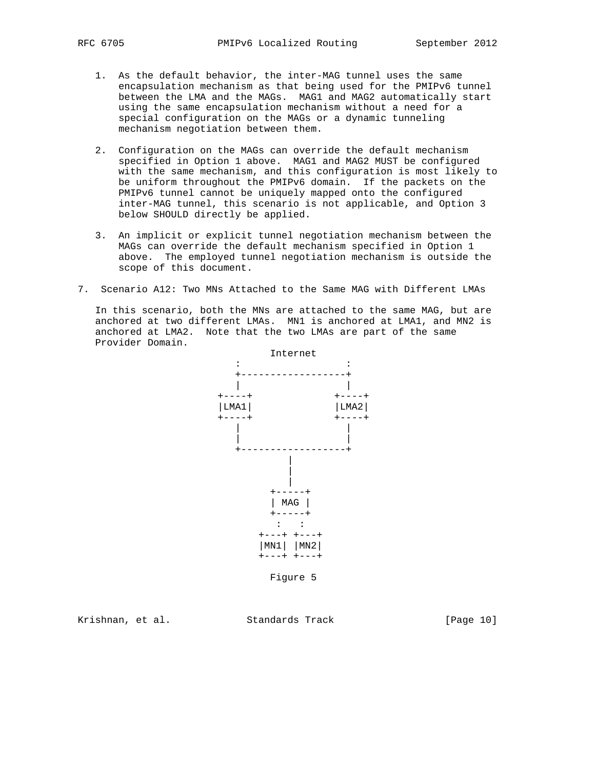- 1. As the default behavior, the inter-MAG tunnel uses the same encapsulation mechanism as that being used for the PMIPv6 tunnel between the LMA and the MAGs. MAG1 and MAG2 automatically start using the same encapsulation mechanism without a need for a special configuration on the MAGs or a dynamic tunneling mechanism negotiation between them.
- 2. Configuration on the MAGs can override the default mechanism specified in Option 1 above. MAG1 and MAG2 MUST be configured with the same mechanism, and this configuration is most likely to be uniform throughout the PMIPv6 domain. If the packets on the PMIPv6 tunnel cannot be uniquely mapped onto the configured inter-MAG tunnel, this scenario is not applicable, and Option 3 below SHOULD directly be applied.
- 3. An implicit or explicit tunnel negotiation mechanism between the MAGs can override the default mechanism specified in Option 1 above. The employed tunnel negotiation mechanism is outside the scope of this document.
- 7. Scenario A12: Two MNs Attached to the Same MAG with Different LMAs

 In this scenario, both the MNs are attached to the same MAG, but are anchored at two different LMAs. MN1 is anchored at LMA1, and MN2 is anchored at LMA2. Note that the two LMAs are part of the same Provider Domain.



Krishnan, et al. Standards Track [Page 10]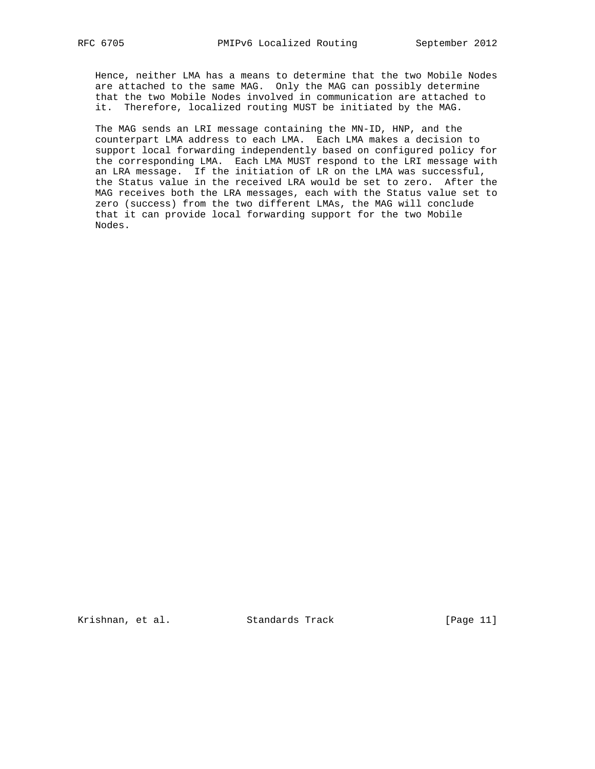Hence, neither LMA has a means to determine that the two Mobile Nodes are attached to the same MAG. Only the MAG can possibly determine that the two Mobile Nodes involved in communication are attached to it. Therefore, localized routing MUST be initiated by the MAG.

 The MAG sends an LRI message containing the MN-ID, HNP, and the counterpart LMA address to each LMA. Each LMA makes a decision to support local forwarding independently based on configured policy for the corresponding LMA. Each LMA MUST respond to the LRI message with an LRA message. If the initiation of LR on the LMA was successful, the Status value in the received LRA would be set to zero. After the MAG receives both the LRA messages, each with the Status value set to zero (success) from the two different LMAs, the MAG will conclude that it can provide local forwarding support for the two Mobile Nodes.

Krishnan, et al. Standards Track [Page 11]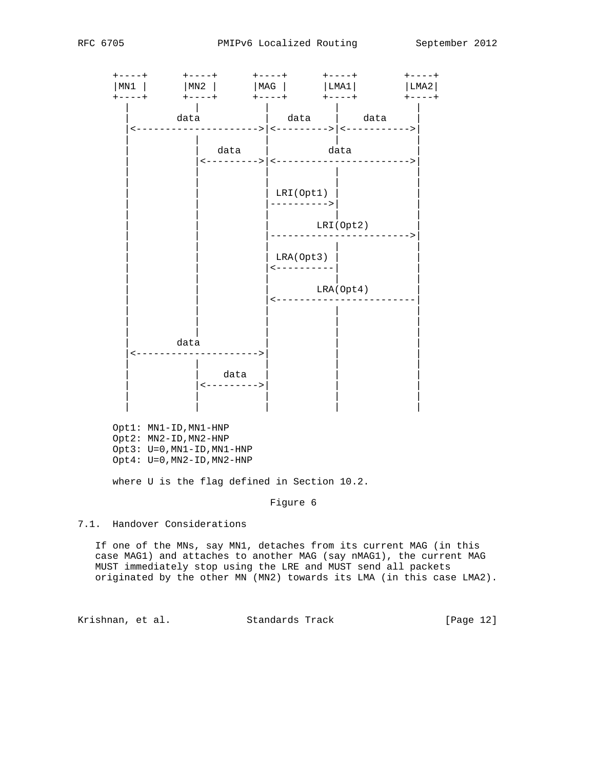

where U is the flag defined in Section 10.2.

Figure 6

7.1. Handover Considerations

 If one of the MNs, say MN1, detaches from its current MAG (in this case MAG1) and attaches to another MAG (say nMAG1), the current MAG MUST immediately stop using the LRE and MUST send all packets originated by the other MN (MN2) towards its LMA (in this case LMA2).

Krishnan, et al. Standards Track [Page 12]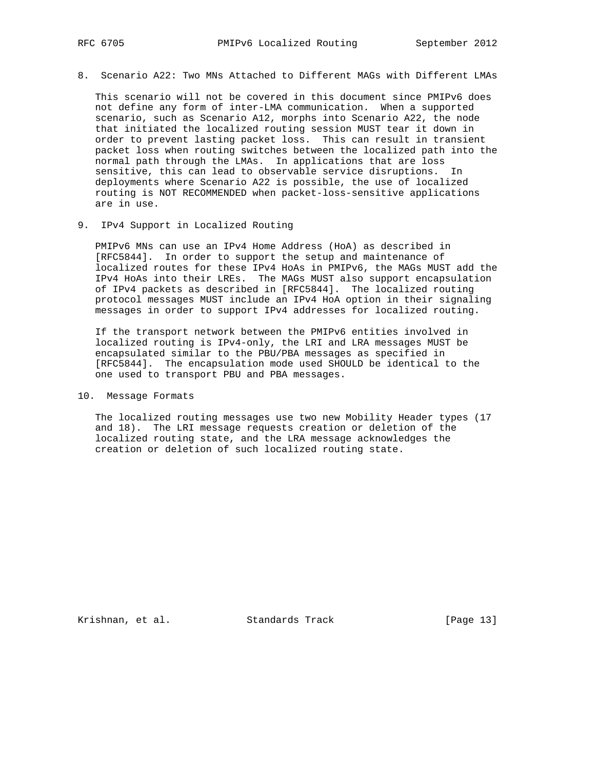8. Scenario A22: Two MNs Attached to Different MAGs with Different LMAs

 This scenario will not be covered in this document since PMIPv6 does not define any form of inter-LMA communication. When a supported scenario, such as Scenario A12, morphs into Scenario A22, the node that initiated the localized routing session MUST tear it down in order to prevent lasting packet loss. This can result in transient packet loss when routing switches between the localized path into the normal path through the LMAs. In applications that are loss sensitive, this can lead to observable service disruptions. In deployments where Scenario A22 is possible, the use of localized routing is NOT RECOMMENDED when packet-loss-sensitive applications are in use.

9. IPv4 Support in Localized Routing

 PMIPv6 MNs can use an IPv4 Home Address (HoA) as described in [RFC5844]. In order to support the setup and maintenance of localized routes for these IPv4 HoAs in PMIPv6, the MAGs MUST add the IPv4 HoAs into their LREs. The MAGs MUST also support encapsulation of IPv4 packets as described in [RFC5844]. The localized routing protocol messages MUST include an IPv4 HoA option in their signaling messages in order to support IPv4 addresses for localized routing.

 If the transport network between the PMIPv6 entities involved in localized routing is IPv4-only, the LRI and LRA messages MUST be encapsulated similar to the PBU/PBA messages as specified in [RFC5844]. The encapsulation mode used SHOULD be identical to the one used to transport PBU and PBA messages.

10. Message Formats

 The localized routing messages use two new Mobility Header types (17 and 18). The LRI message requests creation or deletion of the localized routing state, and the LRA message acknowledges the creation or deletion of such localized routing state.

Krishnan, et al. Standards Track [Page 13]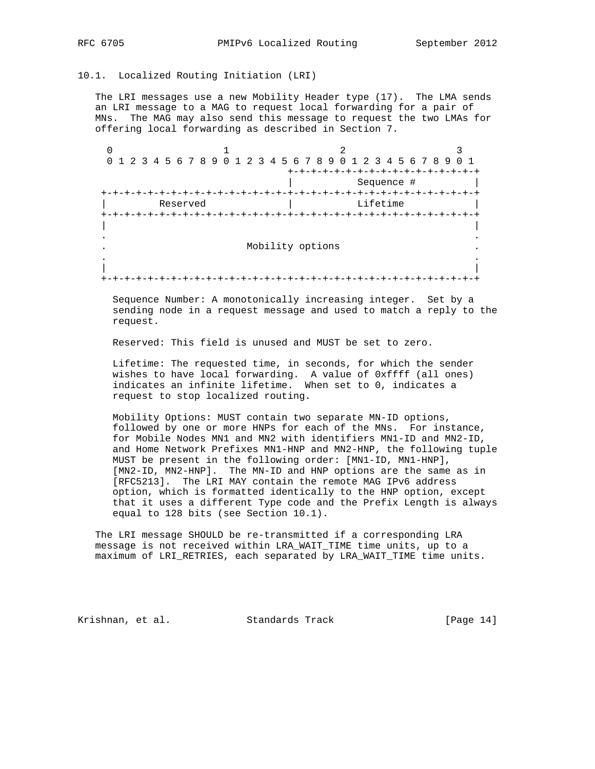## 10.1. Localized Routing Initiation (LRI)

 The LRI messages use a new Mobility Header type (17). The LMA sends an LRI message to a MAG to request local forwarding for a pair of MNs. The MAG may also send this message to request the two LMAs for offering local forwarding as described in Section 7.

|             |  |  |          |  |  |  |  |  |                  |  | 0 1 2 3 4 5 6 7 8 9 0 1 2 3 4 5 6 7 8 9 0 1 2 3 4 5 6 7 8 9 0 1 |          |            |  |  |  |
|-------------|--|--|----------|--|--|--|--|--|------------------|--|-----------------------------------------------------------------|----------|------------|--|--|--|
|             |  |  |          |  |  |  |  |  |                  |  |                                                                 | -+-+-+-+ |            |  |  |  |
|             |  |  |          |  |  |  |  |  |                  |  |                                                                 |          | Sequence # |  |  |  |
| キーキーキーキーキーキ |  |  |          |  |  |  |  |  |                  |  | +-+-+-+-+-+-+-+-+-+-+                                           |          |            |  |  |  |
|             |  |  | Reserved |  |  |  |  |  |                  |  |                                                                 |          | Lifetime   |  |  |  |
|             |  |  |          |  |  |  |  |  |                  |  |                                                                 |          |            |  |  |  |
|             |  |  |          |  |  |  |  |  | Mobility options |  |                                                                 |          |            |  |  |  |
|             |  |  |          |  |  |  |  |  |                  |  |                                                                 |          |            |  |  |  |
| ナーナーナーナー    |  |  |          |  |  |  |  |  |                  |  |                                                                 |          |            |  |  |  |

 Sequence Number: A monotonically increasing integer. Set by a sending node in a request message and used to match a reply to the request.

Reserved: This field is unused and MUST be set to zero.

 Lifetime: The requested time, in seconds, for which the sender wishes to have local forwarding. A value of 0xffff (all ones) indicates an infinite lifetime. When set to 0, indicates a request to stop localized routing.

 Mobility Options: MUST contain two separate MN-ID options, followed by one or more HNPs for each of the MNs. For instance, for Mobile Nodes MN1 and MN2 with identifiers MN1-ID and MN2-ID, and Home Network Prefixes MN1-HNP and MN2-HNP, the following tuple MUST be present in the following order: [MN1-ID, MN1-HNP], [MN2-ID, MN2-HNP]. The MN-ID and HNP options are the same as in [RFC5213]. The LRI MAY contain the remote MAG IPv6 address option, which is formatted identically to the HNP option, except that it uses a different Type code and the Prefix Length is always equal to 128 bits (see Section 10.1).

 The LRI message SHOULD be re-transmitted if a corresponding LRA message is not received within LRA\_WAIT\_TIME time units, up to a maximum of LRI\_RETRIES, each separated by LRA\_WAIT\_TIME time units.

Krishnan, et al. Standards Track [Page 14]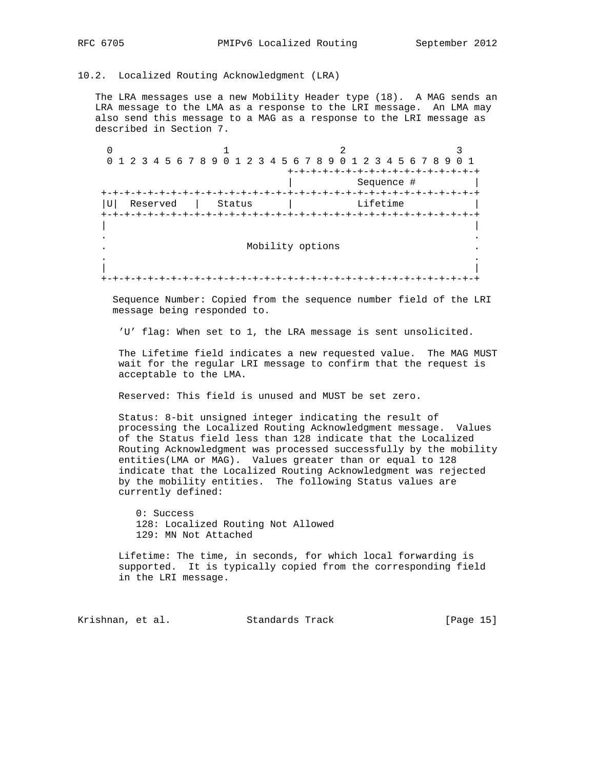## 10.2. Localized Routing Acknowledgment (LRA)

 The LRA messages use a new Mobility Header type (18). A MAG sends an LRA message to the LMA as a response to the LRI message. An LMA may also send this message to a MAG as a response to the LRI message as described in Section 7.

 $0$  1 2 3 0 1 2 3 4 5 6 7 8 9 0 1 2 3 4 5 6 7 8 9 0 1 2 3 4 5 6 7 8 9 0 1 +-+-+-+-+-+-+-+-+-+-+-+-+-+-+-+-+ | Sequence # | +-+-+-+-+-+-+-+-+-+-+-+-+-+-+-+-+-+-+-+-+-+-+-+-+-+-+-+-+-+-+-+-+ |U| Reserved | Status | +-+-+-+-+-+-+-+-+-+-+-+-+-+-+-+-+-+-+-+-+-+-+-+-+-+-+-+-+-+-+-+-+ | | . . . Mobility options . . . | | +-+-+-+-+-+-+-+-+-+-+-+-+-+-+-+-+-+-+-+-+-+-+-+-+-+-+-+-+-+-+-+-+

 Sequence Number: Copied from the sequence number field of the LRI message being responded to.

'U' flag: When set to 1, the LRA message is sent unsolicited.

 The Lifetime field indicates a new requested value. The MAG MUST wait for the regular LRI message to confirm that the request is acceptable to the LMA.

Reserved: This field is unused and MUST be set zero.

 Status: 8-bit unsigned integer indicating the result of processing the Localized Routing Acknowledgment message. Values of the Status field less than 128 indicate that the Localized Routing Acknowledgment was processed successfully by the mobility entities(LMA or MAG). Values greater than or equal to 128 indicate that the Localized Routing Acknowledgment was rejected by the mobility entities. The following Status values are currently defined:

 0: Success 128: Localized Routing Not Allowed 129: MN Not Attached

 Lifetime: The time, in seconds, for which local forwarding is supported. It is typically copied from the corresponding field in the LRI message.

Krishnan, et al. Standards Track [Page 15]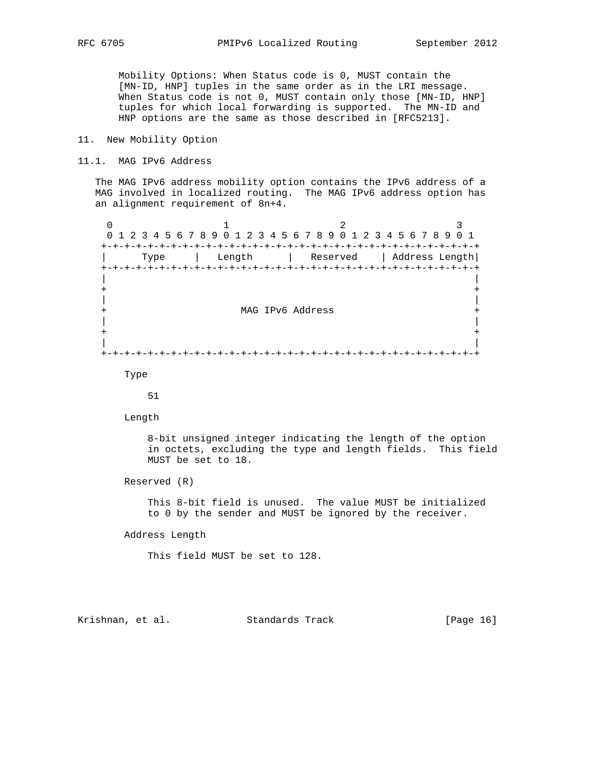Mobility Options: When Status code is 0, MUST contain the [MN-ID, HNP] tuples in the same order as in the LRI message. When Status code is not 0, MUST contain only those [MN-ID, HNP] tuples for which local forwarding is supported. The MN-ID and HNP options are the same as those described in [RFC5213].

#### 11. New Mobility Option

#### 11.1. MAG IPv6 Address

 The MAG IPv6 address mobility option contains the IPv6 address of a MAG involved in localized routing. The MAG IPv6 address option has an alignment requirement of 8n+4.

0  $1$  2 3 0 1 2 3 4 5 6 7 8 9 0 1 2 3 4 5 6 7 8 9 0 1 2 3 4 5 6 7 8 9 0 1 +-+-+-+-+-+-+-+-+-+-+-+-+-+-+-+-+-+-+-+-+-+-+-+-+-+-+-+-+-+-+-+-+ | Type | Length | Reserved | Address Length| +-+-+-+-+-+-+-+-+-+-+-+-+-+-+-+-+-+-+-+-+-+-+-+-+-+-+-+-+-+-+-+-+ | | + + | | + MAG IPv6 Address + | | + + | | +-+-+-+-+-+-+-+-+-+-+-+-+-+-+-+-+-+-+-+-+-+-+-+-+-+-+-+-+-+-+-+-+

Type

51

Length

 8-bit unsigned integer indicating the length of the option in octets, excluding the type and length fields. This field MUST be set to 18.

Reserved (R)

 This 8-bit field is unused. The value MUST be initialized to 0 by the sender and MUST be ignored by the receiver.

Address Length

This field MUST be set to 128.

Krishnan, et al. Standards Track [Page 16]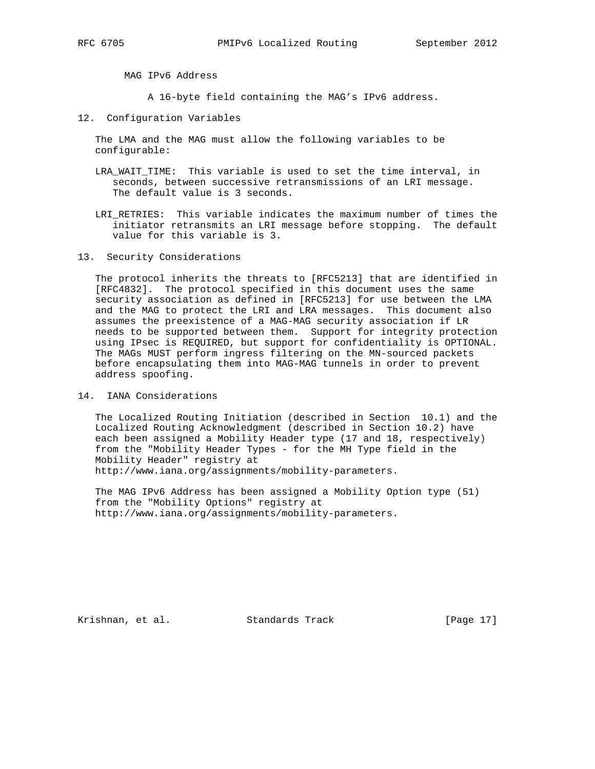MAG IPv6 Address

A 16-byte field containing the MAG's IPv6 address.

12. Configuration Variables

 The LMA and the MAG must allow the following variables to be configurable:

- LRA\_WAIT\_TIME: This variable is used to set the time interval, in seconds, between successive retransmissions of an LRI message. The default value is 3 seconds.
- LRI\_RETRIES: This variable indicates the maximum number of times the initiator retransmits an LRI message before stopping. The default value for this variable is 3.

13. Security Considerations

 The protocol inherits the threats to [RFC5213] that are identified in [RFC4832]. The protocol specified in this document uses the same security association as defined in [RFC5213] for use between the LMA and the MAG to protect the LRI and LRA messages. This document also assumes the preexistence of a MAG-MAG security association if LR needs to be supported between them. Support for integrity protection using IPsec is REQUIRED, but support for confidentiality is OPTIONAL. The MAGs MUST perform ingress filtering on the MN-sourced packets before encapsulating them into MAG-MAG tunnels in order to prevent address spoofing.

14. IANA Considerations

 The Localized Routing Initiation (described in Section 10.1) and the Localized Routing Acknowledgment (described in Section 10.2) have each been assigned a Mobility Header type (17 and 18, respectively) from the "Mobility Header Types - for the MH Type field in the Mobility Header" registry at http://www.iana.org/assignments/mobility-parameters.

 The MAG IPv6 Address has been assigned a Mobility Option type (51) from the "Mobility Options" registry at http://www.iana.org/assignments/mobility-parameters.

Krishnan, et al. Standards Track [Page 17]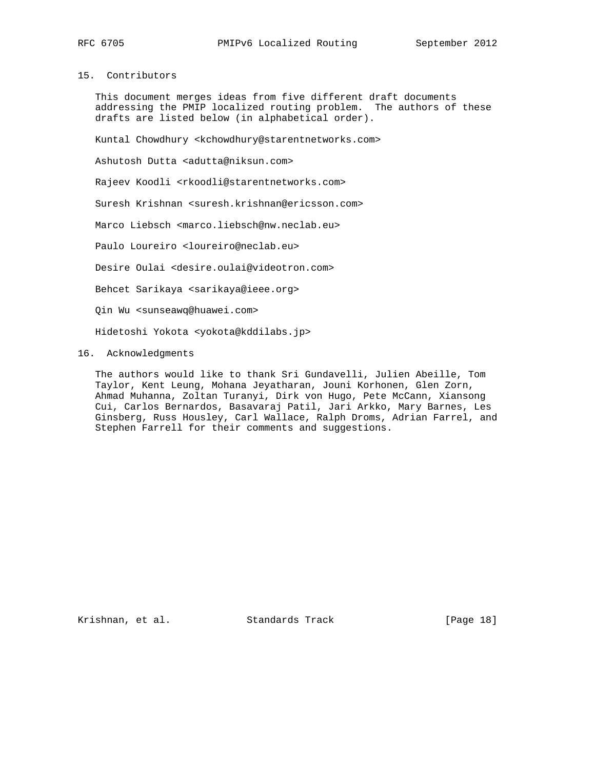# 15. Contributors

 This document merges ideas from five different draft documents addressing the PMIP localized routing problem. The authors of these drafts are listed below (in alphabetical order).

Kuntal Chowdhury <kchowdhury@starentnetworks.com>

Ashutosh Dutta <adutta@niksun.com>

Rajeev Koodli <rkoodli@starentnetworks.com>

Suresh Krishnan <suresh.krishnan@ericsson.com>

Marco Liebsch <marco.liebsch@nw.neclab.eu>

Paulo Loureiro <loureiro@neclab.eu>

Desire Oulai <desire.oulai@videotron.com>

Behcet Sarikaya <sarikaya@ieee.org>

Qin Wu <sunseawq@huawei.com>

Hidetoshi Yokota <yokota@kddilabs.jp>

## 16. Acknowledgments

 The authors would like to thank Sri Gundavelli, Julien Abeille, Tom Taylor, Kent Leung, Mohana Jeyatharan, Jouni Korhonen, Glen Zorn, Ahmad Muhanna, Zoltan Turanyi, Dirk von Hugo, Pete McCann, Xiansong Cui, Carlos Bernardos, Basavaraj Patil, Jari Arkko, Mary Barnes, Les Ginsberg, Russ Housley, Carl Wallace, Ralph Droms, Adrian Farrel, and Stephen Farrell for their comments and suggestions.

Krishnan, et al. Standards Track [Page 18]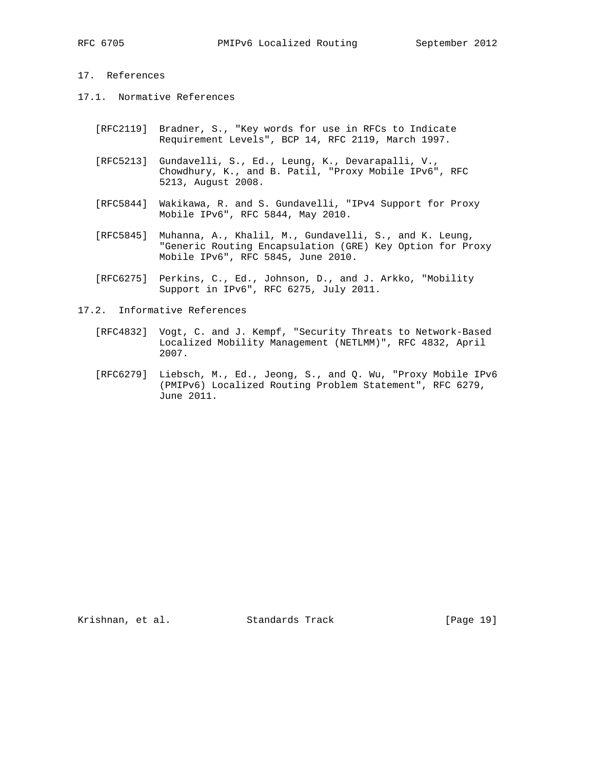# 17. References

- 17.1. Normative References
	- [RFC2119] Bradner, S., "Key words for use in RFCs to Indicate Requirement Levels", BCP 14, RFC 2119, March 1997.
	- [RFC5213] Gundavelli, S., Ed., Leung, K., Devarapalli, V., Chowdhury, K., and B. Patil, "Proxy Mobile IPv6", RFC 5213, August 2008.
	- [RFC5844] Wakikawa, R. and S. Gundavelli, "IPv4 Support for Proxy Mobile IPv6", RFC 5844, May 2010.
	- [RFC5845] Muhanna, A., Khalil, M., Gundavelli, S., and K. Leung, "Generic Routing Encapsulation (GRE) Key Option for Proxy Mobile IPv6", RFC 5845, June 2010.
	- [RFC6275] Perkins, C., Ed., Johnson, D., and J. Arkko, "Mobility Support in IPv6", RFC 6275, July 2011.
- 17.2. Informative References
	- [RFC4832] Vogt, C. and J. Kempf, "Security Threats to Network-Based Localized Mobility Management (NETLMM)", RFC 4832, April 2007.
	- [RFC6279] Liebsch, M., Ed., Jeong, S., and Q. Wu, "Proxy Mobile IPv6 (PMIPv6) Localized Routing Problem Statement", RFC 6279, June 2011.

Krishnan, et al. Standards Track [Page 19]